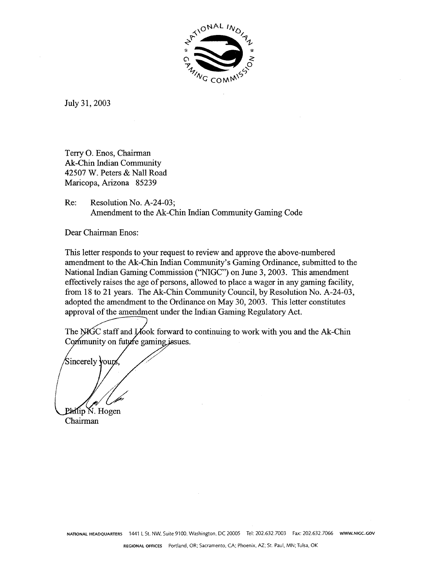

July 31, 2003

Terry 0. Enos, Chairman Ak-Chin Indian Community 42507 W. Peters & Nall Road Maricopa, Arizona 85239

Re: Resolution No. A-24-03; Amendment to the Ak-Chin Indian Community Gaming Code

Dear Chairman Enos:

This letter responds to your request to review and approve the above-numbered amendment to the Ak-Chin Indian Community's Gaming Ordinance, submitted to the National Indian Gaming Commission ("NIGC") on June 3,2003. This amendment effectively raises the age of persons, allowed to place a wager in any gaming facility, from 18 to 21 years. The Ak-Chin Community Council, by Resolution No. A-24-03, adopted the amendment to the Ordinance on May 30, 2003. This letter constitutes<br>approval of the amendment under the Indian Gaming Regulatory Act.<br>The NKTC staff and Llook forward to continuing to work with you and the Ak-C approval of the amendment under the Indian Gaming Regulatory Act.

The NIGC staff and Look forward to continuing to work with you and the Ak-Chin Community on future gaming issues.

Sincerely yours Philip N. Hogen

Chairman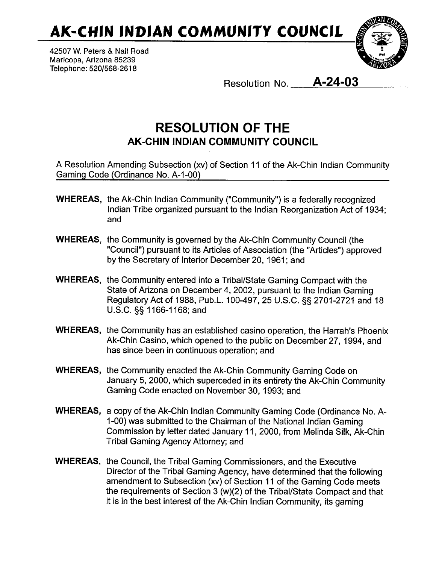**AK-CHIN INDIAN COMMUNITY COUNCIL** 

**42507 W. Peters** & Nall Road Maricopa, Arizona 85239 Telephone: **5201568-261 8** 



Resolution No. **A-24-03** 

## **RESOLUTION OF THE AK-CHIN INDIAN COMMUNITY COUNCIL**

A Resolution Amending Subsection (xv) of Section I1 of the Ak-Chin lndian Community Gaming Code (Ordinance No. A-1 -00)

- WHEREAS, the Ak-Chin lndian Community ("Community") is a federally recognized lndian Tribe organized pursuant to the lndian Reorganization Act of 1934; and
- WHEREAS, the Community is governed by the Ak-Chin Community Council (the "Council") pursuant to its Articles of Association (the "Articles") approved by the Secretary of Interior December 20, 1961; and
- WHEREAS, the Community entered into a Tribal/State Gaming Compact with the State of Arizona on December 4,2002, pursuant to the lndian Gaming Regulatory Act of 1988, Pub.L. 100-497, 25 U.S.C. **\$5** 2701-2721 and 18 U.S.C. 5s 1 166-1 168; and
- WHEREAS, the Community has an established casino operation, the Harrah's Phoenix Ak-Chin Casino, which opened to the public on December 27, 1994, and has since been in continuous operation; and
- WHEREAS, the Community enacted the Ak-Chin Community Gaming Code on January 5, 2000, which superceded in its entirety the Ak-Chin Community Gaming Code enacted on November 30, 1993; and
- WHEREAS, a copy of the Ak-Chin lndian Community Gaming Code (Ordinance No. A-1-00) was submitted to the Chairman of the National lndian Gaming Commission by letter dated January 11, 2000, from Melinda Silk, Ak-Chin Tribal Gaming Agency Attorney; and
- WHEREAS, the Council, the Tribal Gaming Commissioners, and the Executive Director of the Tribal Gaming Agency, have determined that the following amendment to Subsection (xv) of Section 11 of the Gaming Code meets the requirements of Section 3 (w)(2) of the Tribal/State Compact and that it is in the best interest of the Ak-Chin lndian Community, its gaming